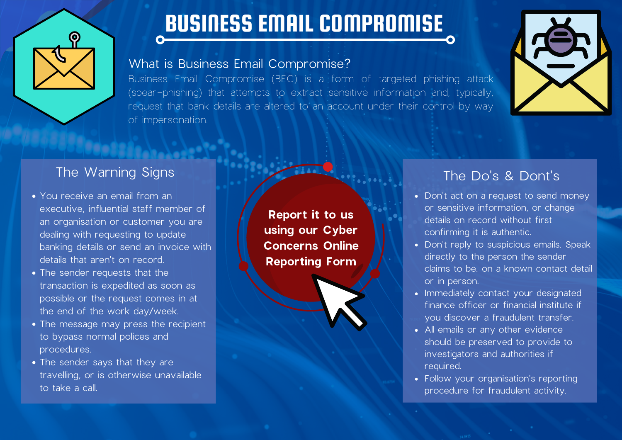

# BUSINESS EMAIL COMPROMISE

#### What is Business Email Compromise?

Business Email Compromise (BEC) is a form of targeted phishing attack (spear-phishing) that attempts to extract sensitive information and, typically, request that bank details are altered to an account under their control by way of impersonation.



#### The Warning Signs

- You receive an email from an executive, influential staff member of an organisation or customer you are dealing with requesting to update banking details or send an invoice with details that aren't on record.
- The sender requests that the transaction is expedited as soon as possible or the request comes in at the end of the work day/week.
- The message may press the recipient to bypass normal polices and procedures.
- The sender says that they are travelling, or is otherwise unavailable to take a call.

**Report it to us using our Cyber Concerns Online Reporting Form**

### The Do's & Dont's

- Don't act on a request to send money or sensitive information, or change details on record without first confirming it is authentic.
- Don't reply to suspicious emails. Speak directly to the person the sender claims to be. on a known contact detail or in person.
- Immediately contact your designated finance officer or financial institute if you discover a fraudulent transfer.
- All emails or any other evidence should be preserved to provide to investigators and authorities if required.
- Follow your organisation's reporting procedure for fraudulent activity.